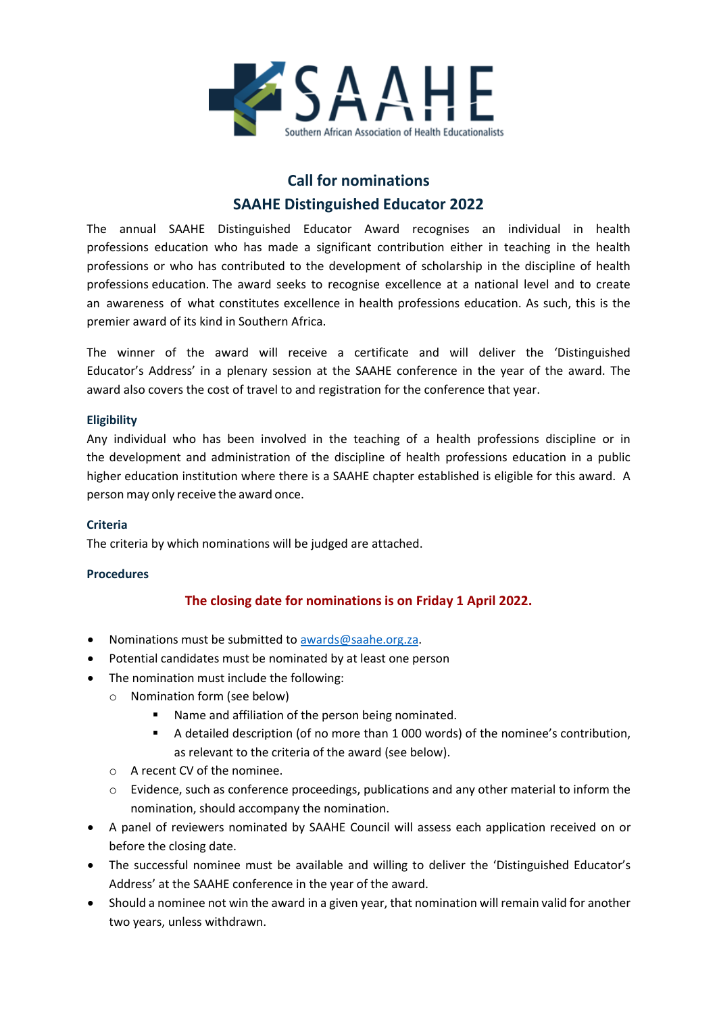

## **Call for nominations SAAHE Distinguished Educator 2022**

The annual SAAHE Distinguished Educator Award recognises an individual in health professions education who has made a significant contribution either in teaching in the health professions or who has contributed to the development of scholarship in the discipline of health professions education. The award seeks to recognise excellence at a national level and to create an awareness of what constitutes excellence in health professions education. As such, this is the premier award of its kind in Southern Africa.

The winner of the award will receive a certificate and will deliver the 'Distinguished Educator's Address' in a plenary session at the SAAHE conference in the year of the award. The award also covers the cost of travel to and registration for the conference that year.

#### **Eligibility**

Any individual who has been involved in the teaching of a health professions discipline or in the development and administration of the discipline of health professions education in a public higher education institution where there is a SAAHE chapter established is eligible for this award. A person may only receive the award once.

#### **Criteria**

The criteria by which nominations will be judged are attached.

#### **Procedures**

### **The closing date for nominations is on Friday 1 April 2022.**

- Nominations must be submitted to [awards@saahe.org.za.](mailto:awards@saahe.org.za?subject=Nomination%20for%20SAAHE%20Distinguished%20Educator)
- Potential candidates must be nominated by at least one person
- The nomination must include the following:
	- o Nomination form (see below)
		- Name and affiliation of the person being nominated.
		- A detailed description (of no more than 1 000 words) of the nominee's contribution, as relevant to the criteria of the award (see below).
	- o A recent CV of the nominee.
	- o Evidence, such as conference proceedings, publications and any other material to inform the nomination, should accompany the nomination.
- A panel of reviewers nominated by SAAHE Council will assess each application received on or before the closing date.
- The successful nominee must be available and willing to deliver the 'Distinguished Educator's Address' at the SAAHE conference in the year of the award.
- Should a nominee not win the award in a given year, that nomination will remain valid for another two years, unless withdrawn.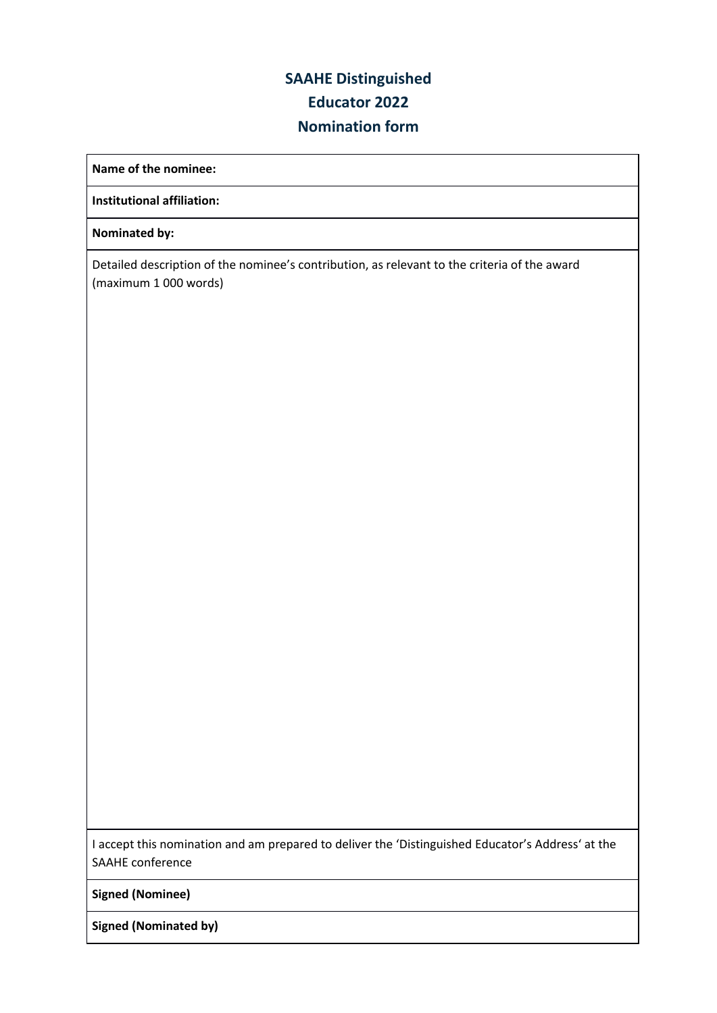## **SAAHE Distinguished Educator 2022 Nomination form**

**Name of the nominee:**

**Institutional affiliation:**

**Nominated by:**

Detailed description of the nominee's contribution, as relevant to the criteria of the award (maximum 1 000 words)

I accept this nomination and am prepared to deliver the 'Distinguished Educator's Address' at the SAAHE conference

**Signed (Nominee)**

**Signed (Nominated by)**